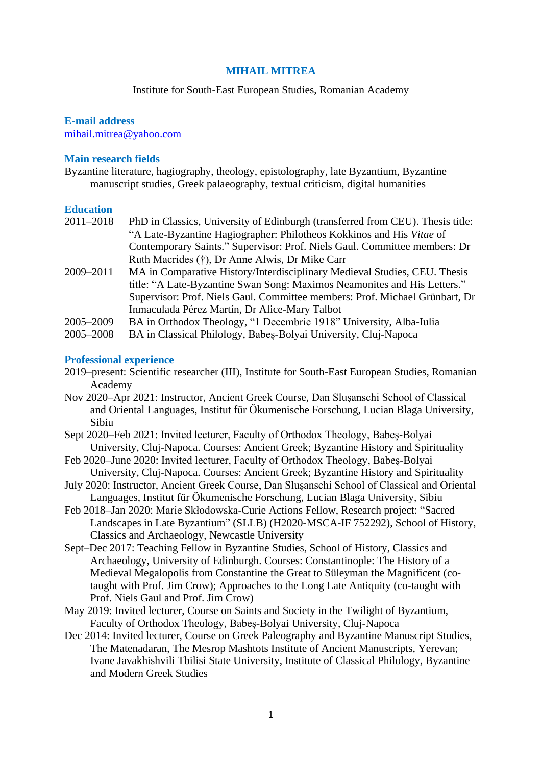### **MIHAIL MITREA**

### Institute for South-East European Studies, Romanian Academy

### **E-mail address** [mihail.mitrea@yahoo.com](mailto:mihail.mitrea@yahoo.com)

### **Main research fields**

Byzantine literature, hagiography, theology, epistolography, late Byzantium, Byzantine manuscript studies, Greek palaeography, textual criticism, digital humanities

#### **Education**

| $2011 - 2018$ | PhD in Classics, University of Edinburgh (transferred from CEU). Thesis title: |
|---------------|--------------------------------------------------------------------------------|
|               | "A Late-Byzantine Hagiographer: Philotheos Kokkinos and His Vitae of           |
|               | Contemporary Saints." Supervisor: Prof. Niels Gaul. Committee members: Dr      |
|               | Ruth Macrides (†), Dr Anne Alwis, Dr Mike Carr                                 |
| 2009-2011     | MA in Comparative History/Interdisciplinary Medieval Studies, CEU. Thesis      |
|               | title: "A Late-Byzantine Swan Song: Maximos Neamonites and His Letters."       |
|               | Supervisor: Prof. Niels Gaul. Committee members: Prof. Michael Grünbart, Dr    |
|               | Inmaculada Pérez Martín, Dr Alice-Mary Talbot                                  |

- 2005–2009 BA in Orthodox Theology, "1 Decembrie 1918" University, Alba-Iulia
- 2005–2008 BA in Classical Philology, Babeș-Bolyai University, Cluj-Napoca

### **Professional experience**

- 2019–present: Scientific researcher (III), Institute for South-East European Studies, Romanian Academy
- Nov 2020–Apr 2021: Instructor, Ancient Greek Course, Dan Slușanschi School of Classical and Oriental Languages, Institut für Ökumenische Forschung, Lucian Blaga University, Sibiu
- Sept 2020–Feb 2021: Invited lecturer, Faculty of Orthodox Theology, Babeș-Bolyai University, Cluj-Napoca. Courses: Ancient Greek; Byzantine History and Spirituality
- Feb 2020–June 2020: Invited lecturer, Faculty of Orthodox Theology, Babeș-Bolyai University, Cluj-Napoca. Courses: Ancient Greek; Byzantine History and Spirituality
- July 2020: Instructor, Ancient Greek Course, Dan Slușanschi School of Classical and Oriental Languages, Institut für Ökumenische Forschung, Lucian Blaga University, Sibiu
- Feb 2018–Jan 2020: Marie Skłodowska-Curie Actions Fellow, Research project: "Sacred Landscapes in Late Byzantium" (SLLB) (H2020-MSCA-IF 752292), School of History, Classics and Archaeology, Newcastle University
- Sept–Dec 2017: Teaching Fellow in Byzantine Studies, School of History, Classics and Archaeology, University of Edinburgh. Courses: Constantinople: The History of a Medieval Megalopolis from Constantine the Great to Süleyman the Magnificent (cotaught with Prof. Jim Crow); Approaches to the Long Late Antiquity (co-taught with Prof. Niels Gaul and Prof. Jim Crow)
- May 2019: Invited lecturer, Course on Saints and Society in the Twilight of Byzantium, Faculty of Orthodox Theology, Babeș-Bolyai University, Cluj-Napoca
- Dec 2014: Invited lecturer, Course on Greek Paleography and Byzantine Manuscript Studies, The Matenadaran, The Mesrop Mashtots Institute of Ancient Manuscripts, Yerevan; Ivane Javakhishvili Tbilisi State University, Institute of Classical Philology, Byzantine and Modern Greek Studies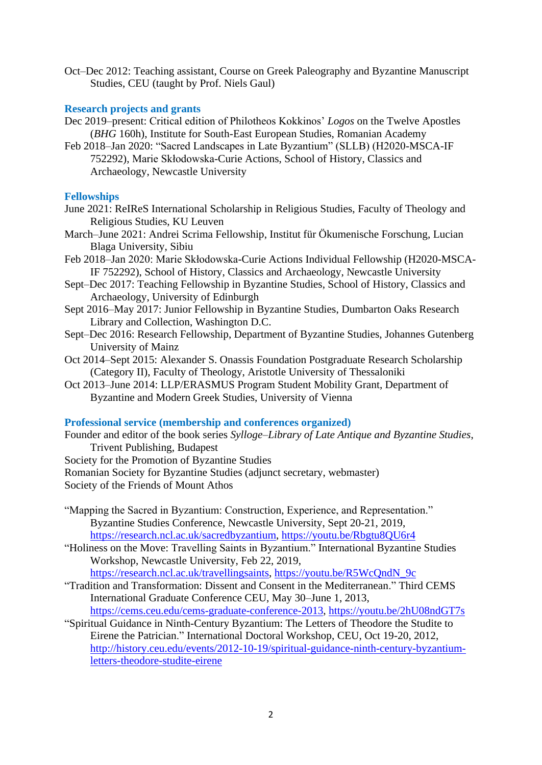Oct–Dec 2012: Teaching assistant, Course on Greek Paleography and Byzantine Manuscript Studies, CEU (taught by Prof. Niels Gaul)

# **Research projects and grants**

- Dec 2019–present: Critical edition of Philotheos Kokkinos' *Logos* on the Twelve Apostles (*BHG* 160h), Institute for South-East European Studies, Romanian Academy
- Feb 2018–Jan 2020: "Sacred Landscapes in Late Byzantium" (SLLB) (H2020-MSCA-IF 752292), Marie Skłodowska-Curie Actions, School of History, Classics and Archaeology, Newcastle University

# **Fellowships**

- June 2021: ReIReS International Scholarship in Religious Studies, Faculty of Theology and Religious Studies, KU Leuven
- March–June 2021: Andrei Scrima Fellowship, Institut für Ökumenische Forschung, Lucian Blaga University, Sibiu
- Feb 2018–Jan 2020: Marie Skłodowska-Curie Actions Individual Fellowship (H2020-MSCA-IF 752292), School of History, Classics and Archaeology, Newcastle University
- Sept–Dec 2017: Teaching Fellowship in Byzantine Studies, School of History, Classics and Archaeology, University of Edinburgh
- Sept 2016–May 2017: Junior Fellowship in Byzantine Studies, Dumbarton Oaks Research Library and Collection, Washington D.C.
- Sept–Dec 2016: Research Fellowship, Department of Byzantine Studies, Johannes Gutenberg University of Mainz
- Oct 2014–Sept 2015: Alexander S. Onassis Foundation Postgraduate Research Scholarship (Category II), Faculty of Theology, Aristotle University of Thessaloniki
- Oct 2013–June 2014: LLP/ERASMUS Program Student Mobility Grant, Department of Byzantine and Modern Greek Studies, University of Vienna

# **Professional service (membership and conferences organized)**

- Founder and editor of the book series *Sylloge*–*Library of Late Antique and Byzantine Studies*, Trivent Publishing, Budapest
- Society for the Promotion of Byzantine Studies
- Romanian Society for Byzantine Studies (adjunct secretary, webmaster)
- Society of the Friends of Mount Athos
- "Mapping the Sacred in Byzantium: Construction, Experience, and Representation." Byzantine Studies Conference, Newcastle University, Sept 20-21, 2019, [https://research.ncl.ac.uk/sacredbyzantium,](https://research.ncl.ac.uk/sacredbyzantium)<https://youtu.be/Rbgtu8QU6r4>
- "Holiness on the Move: Travelling Saints in Byzantium." International Byzantine Studies Workshop, Newcastle University, Feb 22, 2019, [https://research.ncl.ac.uk/travellingsaints,](https://research.ncl.ac.uk/travellingsaints) [https://youtu.be/R5WcQndN\\_9c](https://youtu.be/R5WcQndN_9c)
- "Tradition and Transformation: Dissent and Consent in the Mediterranean." Third CEMS International Graduate Conference CEU, May 30–June 1, 2013, [https://cems.ceu.edu/cems-graduate-conference-2013,](https://cems.ceu.edu/cems-graduate-conference-2013)<https://youtu.be/2hU08ndGT7s>
- "Spiritual Guidance in Ninth-Century Byzantium: The Letters of Theodore the Studite to Eirene the Patrician." International Doctoral Workshop, CEU, Oct 19-20, 2012, [http://history.ceu.edu/events/2012-10-19/spiritual-guidance-ninth-century-byzantium](http://history.ceu.edu/events/2012-10-19/spiritual-guidance-ninth-century-byzantium-letters-theodore-studite-eirene)[letters-theodore-studite-eirene](http://history.ceu.edu/events/2012-10-19/spiritual-guidance-ninth-century-byzantium-letters-theodore-studite-eirene)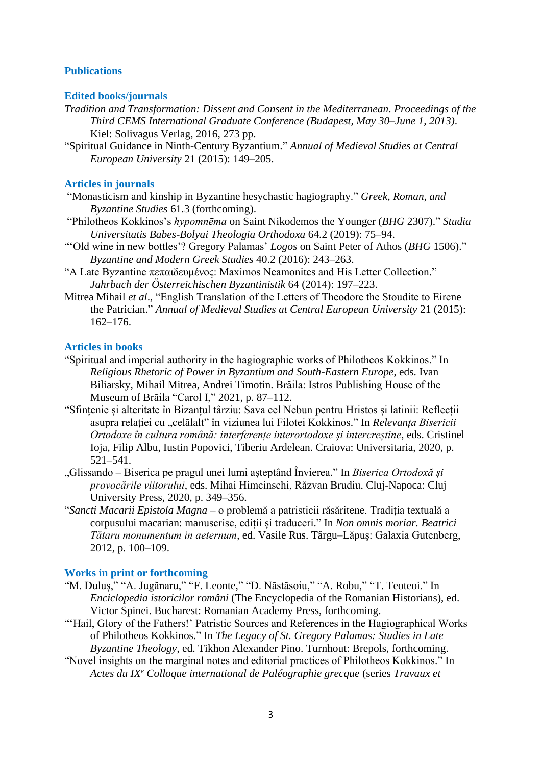## **Publications**

## **Edited books/journals**

- *Tradition and Transformation: Dissent and Consent in the Mediterranean*. *Proceedings of the Third CEMS International Graduate Conference (Budapest, May 30–June 1, 2013)*. Kiel: Solivagus Verlag, 2016, 273 pp.
- "Spiritual Guidance in Ninth-Century Byzantium." *Annual of Medieval Studies at Central European University* 21 (2015): 149–205.

## **Articles in journals**

- "Monasticism and kinship in Byzantine hesychastic hagiography." *Greek, Roman, and Byzantine Studies* 61.3 (forthcoming).
- "Philotheos Kokkinos's *hypomnēma* on Saint Nikodemos the Younger (*BHG* 2307)." *Studia Universitatis Babes-Bolyai Theologia Orthodoxa* 64.2 (2019): 75–94.
- "'Old wine in new bottles'? Gregory Palamas' *Logos* on Saint Peter of Athos (*BHG* 1506)." *Byzantine and Modern Greek Studies* 40.2 (2016): 243–263.
- "A Late Byzantine πεπαιδευμένος: Maximos Neamonites and His Letter Collection." *Jahrbuch der Österreichischen Byzantinistik* 64 (2014): 197–223.
- Mitrea Mihail *et al*., "English Translation of the Letters of Theodore the Stoudite to Eirene the Patrician." *Annual of Medieval Studies at Central European University* 21 (2015): 162–176.

### **Articles in books**

- "Spiritual and imperial authority in the hagiographic works of Philotheos Kokkinos." In *Religious Rhetoric of Power in Byzantium and South-Eastern Europe*, eds. Ivan Biliarsky, Mihail Mitrea, Andrei Timotin. Brăila: Istros Publishing House of the Museum of Brăila "Carol I," 2021, p. 87–112.
- "Sfințenie și alteritate în Bizanțul târziu: Sava cel Nebun pentru Hristos și latinii: Reflecții asupra relației cu "celălalt" în viziunea lui Filotei Kokkinos." In *Relevanța Bisericii Ortodoxe în cultura română: interferențe interortodoxe și intercreștine*, eds. Cristinel Ioja, Filip Albu, Iustin Popovici, Tiberiu Ardelean. Craiova: Universitaria, 2020, p. 521–541.
- "Glissando Biserica pe pragul unei lumi așteptând Învierea." In *Biserica Ortodoxă și provocările viitorului*, eds. Mihai Himcinschi, Răzvan Brudiu. Cluj-Napoca: Cluj University Press, 2020, p. 349–356.
- "*Sancti Macarii Epistola Magna* o problemă a patristicii răsăritene. Tradiția textuală a corpusului macarian: manuscrise, ediții și traduceri." In *Non omnis moriar. Beatrici Tătaru monumentum in aeternum*, ed. Vasile Rus. Târgu–Lăpuş: Galaxia Gutenberg, 2012, p. 100–109.

## **Works in print or forthcoming**

- "M. Duluș," "A. Jugănaru," "F. Leonte," "D. Năstăsoiu," "A. Robu," "T. Teoteoi." In *Enciclopedia istoricilor români* (The Encyclopedia of the Romanian Historians), ed. Victor Spinei. Bucharest: Romanian Academy Press, forthcoming.
- "'Hail, Glory of the Fathers!' Patristic Sources and References in the Hagiographical Works of Philotheos Kokkinos." In *The Legacy of St. Gregory Palamas: Studies in Late Byzantine Theology*, ed. Tikhon Alexander Pino. Turnhout: Brepols, forthcoming.
- "Novel insights on the marginal notes and editorial practices of Philotheos Kokkinos." In *Actes du IX<sup>e</sup> Colloque international de Paléographie grecque* (series *Travaux et*